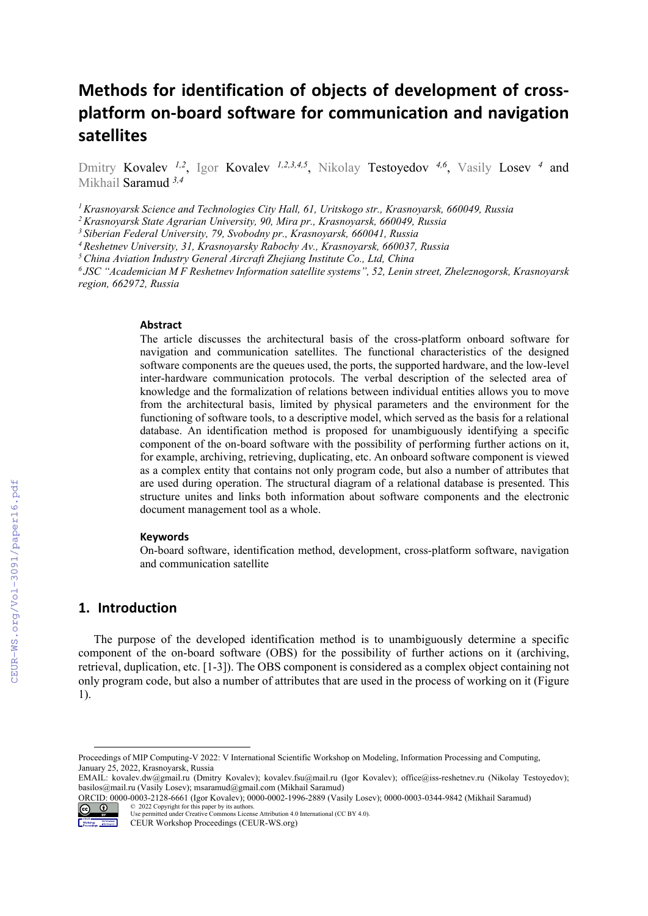# **Methods for identification of objects of development of cross‐ platform on‐board software for communication and navigation satellites**

Dmitry Kovalev <sup>1,2</sup>, Igor Kovalev <sup>1,2,3,4,5</sup>, Nikolay Testoyedov <sup>4,6</sup>, Vasily Losev <sup>4</sup> and Mikhail Saramud *3,4*

*1 Krasnoyarsk Science and Technologies City Hall, 61, Uritskogo str., Krasnoyarsk, 660049, Russia*

*2 Krasnoyarsk State Agrarian University, 90, Mira pr., Krasnoyarsk, 660049, Russia*

*3 Siberian Federal University, 79, Svobodny pr., Krasnoyarsk, 660041, Russia* 

*4 Reshetnev University, 31, Krasnoyarsky Rabochy Av., Krasnoyarsk, 660037, Russia*

*5 China Aviation Industry General Aircraft Zhejiang Institute Co., Ltd, China*

*6 JSC "Academician M F Reshetnev Information satellite systems", 52, Lenin street, Zheleznogorsk, Krasnoyarsk region, 662972, Russia*

#### **Abstract**

The article discusses the architectural basis of the cross-platform onboard software for navigation and communication satellites. The functional characteristics of the designed software components are the queues used, the ports, the supported hardware, and the low-level inter-hardware communication protocols. The verbal description of the selected area of knowledge and the formalization of relations between individual entities allows you to move from the architectural basis, limited by physical parameters and the environment for the functioning of software tools, to a descriptive model, which served as the basis for a relational database. An identification method is proposed for unambiguously identifying a specific component of the on-board software with the possibility of performing further actions on it, for example, archiving, retrieving, duplicating, etc. An onboard software component is viewed as a complex entity that contains not only program code, but also a number of attributes that are used during operation. The structural diagram of a relational database is presented. This structure unites and links both information about software components and the electronic document management tool as a whole.

#### **Keywords 1**

On-board software, identification method, development, cross-platform software, navigation and communication satellite

## **1. Introduction**

The purpose of the developed identification method is to unambiguously determine a specific component of the on-board software (OBS) for the possibility of further actions on it (archiving, retrieval, duplication, etc. [1-3]). The OBS component is considered as a complex object containing not only program code, but also a number of attributes that are used in the process of working on it (Figure 1).

ORCID: 0000-0003-2128-6661 (Igor Kovalev); 0000-0002-1996-2889 (Vasily Losev); 0000-0003-0344-9842 (Mikhail Saramud) © 2022 Copyright for this paper by its authors.



Use permitted under Creative Commons License Attribution 4.0 International (CC BY 4.0).

Proceedings of MIP Computing-V 2022: V International Scientific Workshop on Modeling, Information Processing and Computing, January 25, 2022, Krasnoyarsk, Russia

EMAIL: kovalev.dw@gmail.ru (Dmitry Kovalev); kovalev.fsu@mail.ru (Igor Kovalev); office@iss-reshetnev.ru (Nikolay Testoyedov); basilos@mail.ru (Vasily Losev); msaramud@gmail.com (Mikhail Saramud)

CEUR Workshop Proceedings (CEUR-WS.org)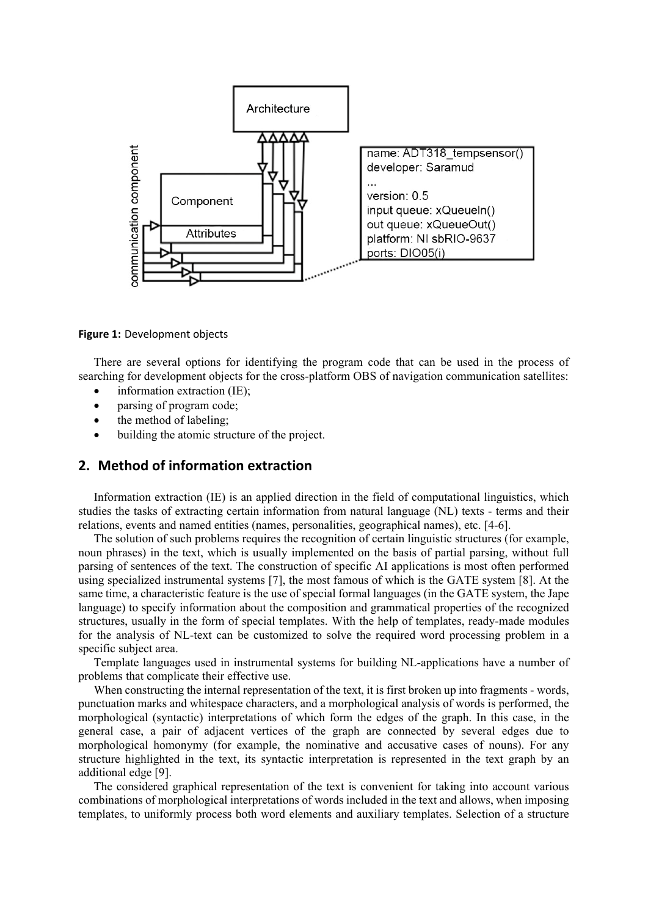

**Figure 1:** Development objects

There are several options for identifying the program code that can be used in the process of searching for development objects for the cross-platform OBS of navigation communication satellites:

- information extraction (IE);
- parsing of program code;
- the method of labeling;
- building the atomic structure of the project.

# **2. Method of information extraction**

Information extraction (IE) is an applied direction in the field of computational linguistics, which studies the tasks of extracting certain information from natural language (NL) texts - terms and their relations, events and named entities (names, personalities, geographical names), etc. [4-6].

The solution of such problems requires the recognition of certain linguistic structures (for example, noun phrases) in the text, which is usually implemented on the basis of partial parsing, without full parsing of sentences of the text. The construction of specific AI applications is most often performed using specialized instrumental systems [7], the most famous of which is the GATE system [8]. At the same time, a characteristic feature is the use of special formal languages (in the GATE system, the Jape language) to specify information about the composition and grammatical properties of the recognized structures, usually in the form of special templates. With the help of templates, ready-made modules for the analysis of NL-text can be customized to solve the required word processing problem in a specific subject area.

Template languages used in instrumental systems for building NL-applications have a number of problems that complicate their effective use.

When constructing the internal representation of the text, it is first broken up into fragments - words, punctuation marks and whitespace characters, and a morphological analysis of words is performed, the morphological (syntactic) interpretations of which form the edges of the graph. In this case, in the general case, a pair of adjacent vertices of the graph are connected by several edges due to morphological homonymy (for example, the nominative and accusative cases of nouns). For any structure highlighted in the text, its syntactic interpretation is represented in the text graph by an additional edge [9].

The considered graphical representation of the text is convenient for taking into account various combinations of morphological interpretations of words included in the text and allows, when imposing templates, to uniformly process both word elements and auxiliary templates. Selection of a structure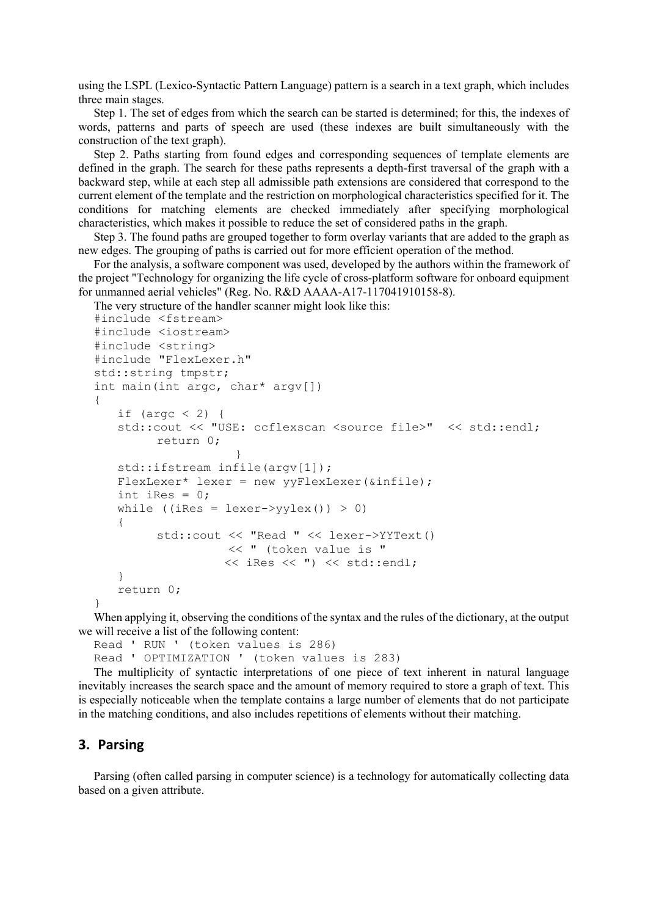using the LSPL (Lexico-Syntactic Pattern Language) pattern is a search in a text graph, which includes three main stages.

Step 1. The set of edges from which the search can be started is determined; for this, the indexes of words, patterns and parts of speech are used (these indexes are built simultaneously with the construction of the text graph).

Step 2. Paths starting from found edges and corresponding sequences of template elements are defined in the graph. The search for these paths represents a depth-first traversal of the graph with a backward step, while at each step all admissible path extensions are considered that correspond to the current element of the template and the restriction on morphological characteristics specified for it. The conditions for matching elements are checked immediately after specifying morphological characteristics, which makes it possible to reduce the set of considered paths in the graph.

Step 3. The found paths are grouped together to form overlay variants that are added to the graph as new edges. The grouping of paths is carried out for more efficient operation of the method.

For the analysis, a software component was used, developed by the authors within the framework of the project "Technology for organizing the life cycle of cross-platform software for onboard equipment for unmanned aerial vehicles" (Reg. No. R&D AAAA-A17-117041910158-8).

The very structure of the handler scanner might look like this:

```
#include <fstream> 
#include <iostream> 
#include <string> 
#include "FlexLexer.h" 
std::string tmpstr; 
int main(int argc, char* argv[]) 
{ 
   if (argc \langle 2 \rangle {
    std::cout << "USE: ccflexscan <source file>" << std::endl; 
          return 0; 
 } 
   std::ifstream infile(argv[1]);
    FlexLexer* lexer = new yyFlexLexer(&infile); 
   int iRes = 0;
   while ((iRes = lexer->yylex()) > 0)
    { 
          std::cout << "Read " << lexer->YYText() 
                    << " (token value is " 
                    << iRes << ") << std::endl; 
    } 
    return 0; 
}
```
When applying it, observing the conditions of the syntax and the rules of the dictionary, at the output we will receive a list of the following content:

Read ' RUN ' (token values is 286) Read ' OPTIMIZATION ' (token values is 283)

The multiplicity of syntactic interpretations of one piece of text inherent in natural language inevitably increases the search space and the amount of memory required to store a graph of text. This is especially noticeable when the template contains a large number of elements that do not participate in the matching conditions, and also includes repetitions of elements without their matching.

## **3. Parsing**

Parsing (often called parsing in computer science) is a technology for automatically collecting data based on a given attribute.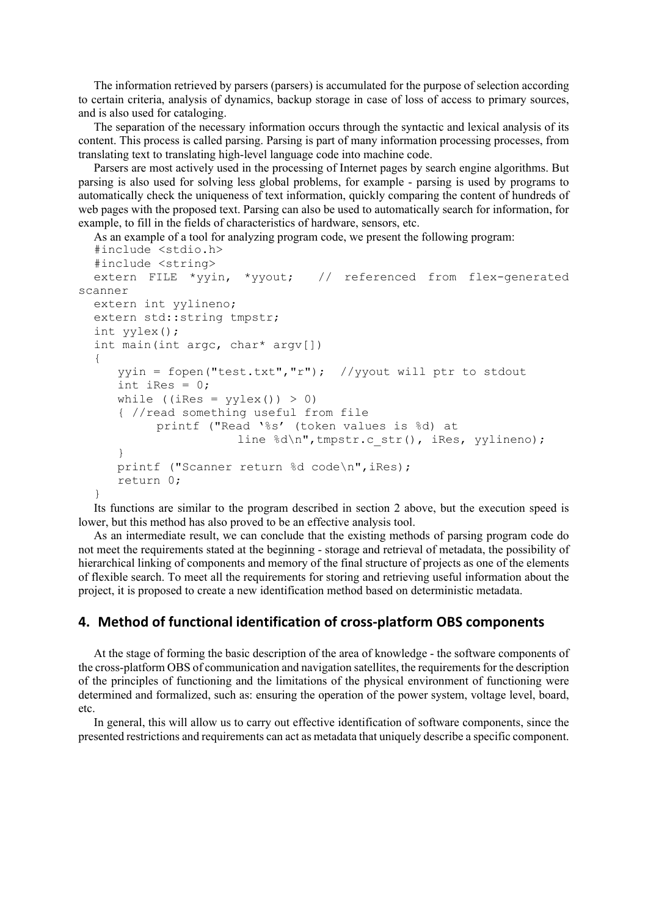The information retrieved by parsers (parsers) is accumulated for the purpose of selection according to certain criteria, analysis of dynamics, backup storage in case of loss of access to primary sources, and is also used for cataloging.

The separation of the necessary information occurs through the syntactic and lexical analysis of its content. This process is called parsing. Parsing is part of many information processing processes, from translating text to translating high-level language code into machine code.

Parsers are most actively used in the processing of Internet pages by search engine algorithms. But parsing is also used for solving less global problems, for example - parsing is used by programs to automatically check the uniqueness of text information, quickly comparing the content of hundreds of web pages with the proposed text. Parsing can also be used to automatically search for information, for example, to fill in the fields of characteristics of hardware, sensors, etc.

As an example of a tool for analyzing program code, we present the following program:

```
#include <stdio.h> 
  #include <string> 
  extern FILE *yyin, *yyout; // referenced from flex-generated
scanner 
  extern int yylineno; 
  extern std::string tmpstr; 
  int yylex(); 
  int main(int argc, char* argv[]) 
  { 
      yyin = fopen("test.txt","r"); //yyout will ptr to stdout 
     int iRes = 0;
     while ((iRes = y\text{ylex}()) > 0)
      { //read something useful from file 
            printf ("Read '%s' (token values is %d) at 
                       line %d\n", tmpstr.c str(), iRes, yylineno);
      } 
     printf ("Scanner return %d code\n", iRes);
      return 0; 
  }
```
Its functions are similar to the program described in section 2 above, but the execution speed is lower, but this method has also proved to be an effective analysis tool.

As an intermediate result, we can conclude that the existing methods of parsing program code do not meet the requirements stated at the beginning - storage and retrieval of metadata, the possibility of hierarchical linking of components and memory of the final structure of projects as one of the elements of flexible search. To meet all the requirements for storing and retrieving useful information about the project, it is proposed to create a new identification method based on deterministic metadata.

# **4. Method of functional identification of cross‐platform OBS components**

At the stage of forming the basic description of the area of knowledge - the software components of the cross-platform OBS of communication and navigation satellites, the requirements for the description of the principles of functioning and the limitations of the physical environment of functioning were determined and formalized, such as: ensuring the operation of the power system, voltage level, board, etc.

In general, this will allow us to carry out effective identification of software components, since the presented restrictions and requirements can act as metadata that uniquely describe a specific component.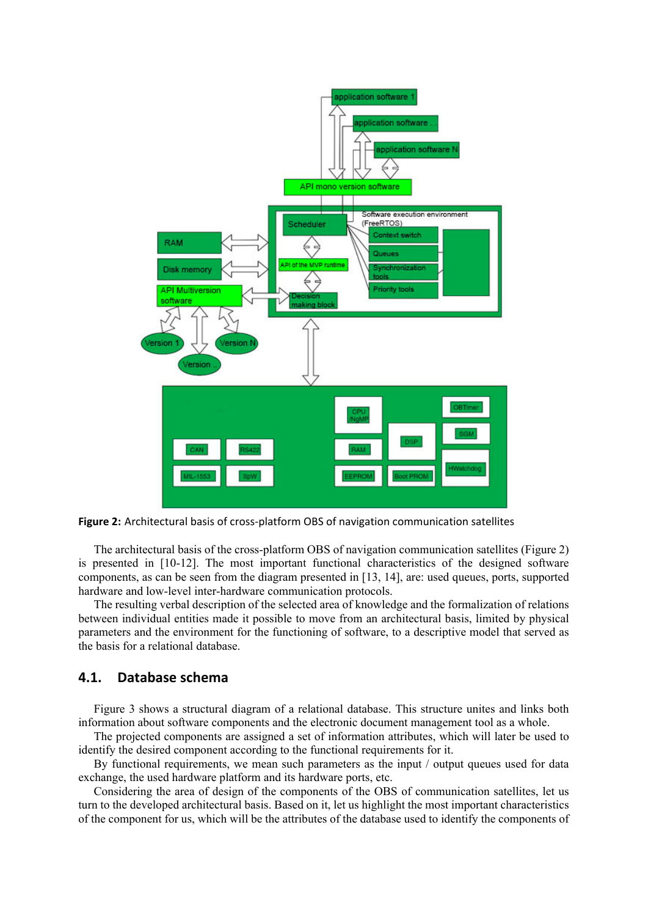

**Figure 2:** Architectural basis of cross‐platform OBS of navigation communication satellites

The architectural basis of the cross-platform OBS of navigation communication satellites (Figure 2) is presented in [10-12]. The most important functional characteristics of the designed software components, as can be seen from the diagram presented in [13, 14], are: used queues, ports, supported hardware and low-level inter-hardware communication protocols.

The resulting verbal description of the selected area of knowledge and the formalization of relations between individual entities made it possible to move from an architectural basis, limited by physical parameters and the environment for the functioning of software, to a descriptive model that served as the basis for a relational database.

# **4.1. Database schema**

Figure 3 shows a structural diagram of a relational database. This structure unites and links both information about software components and the electronic document management tool as a whole.

The projected components are assigned a set of information attributes, which will later be used to identify the desired component according to the functional requirements for it.

By functional requirements, we mean such parameters as the input / output queues used for data exchange, the used hardware platform and its hardware ports, etc.

Considering the area of design of the components of the OBS of communication satellites, let us turn to the developed architectural basis. Based on it, let us highlight the most important characteristics of the component for us, which will be the attributes of the database used to identify the components of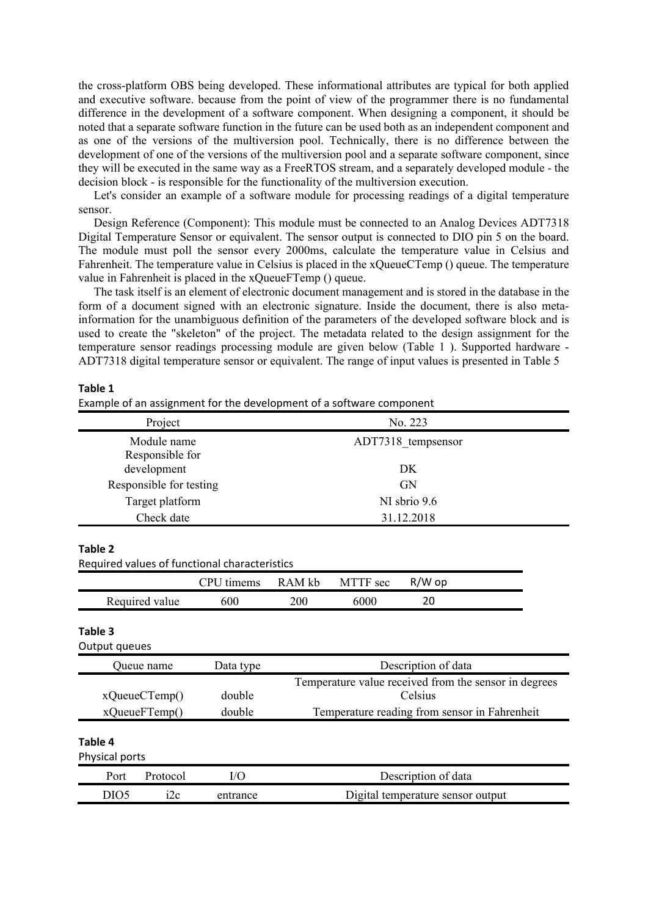the cross-platform OBS being developed. These informational attributes are typical for both applied and executive software. because from the point of view of the programmer there is no fundamental difference in the development of a software component. When designing a component, it should be noted that a separate software function in the future can be used both as an independent component and as one of the versions of the multiversion pool. Technically, there is no difference between the development of one of the versions of the multiversion pool and a separate software component, since they will be executed in the same way as a FreeRTOS stream, and a separately developed module - the decision block - is responsible for the functionality of the multiversion execution.

Let's consider an example of a software module for processing readings of a digital temperature sensor.

Design Reference (Component): This module must be connected to an Analog Devices ADT7318 Digital Temperature Sensor or equivalent. The sensor output is connected to DIO pin 5 on the board. The module must poll the sensor every 2000ms, calculate the temperature value in Celsius and Fahrenheit. The temperature value in Celsius is placed in the xQueueCTemp () queue. The temperature value in Fahrenheit is placed in the xQueueFTemp () queue.

The task itself is an element of electronic document management and is stored in the database in the form of a document signed with an electronic signature. Inside the document, there is also metainformation for the unambiguous definition of the parameters of the developed software block and is used to create the "skeleton" of the project. The metadata related to the design assignment for the temperature sensor readings processing module are given below (Table 1 ). Supported hardware - ADT7318 digital temperature sensor or equivalent. The range of input values is presented in Table 5

#### **Table 1**

Example of an assignment for the development of a software component

| Project                                       | No. 223                  |  |
|-----------------------------------------------|--------------------------|--|
| Module name<br>Responsible for<br>development | ADT7318 tempsensor<br>DK |  |
| Responsible for testing                       | <b>GN</b>                |  |
| Target platform                               | NI sbrio 9.6             |  |
| Check date                                    | 31.12.2018               |  |
|                                               |                          |  |

#### **Table 2**

Required values of functional characteristics

|                | ן נסי<br>timems | RAM kb | MTTF sec | $R/W$ op |  |
|----------------|-----------------|--------|----------|----------|--|
| Required value | 600             | 200    | 6000     |          |  |

#### **Table 3**

Output queues Queue name Data type Description of data xQueueСTemp() double Temperature value received from the sensor in degrees Celsius xQueueFTemp() double Temperature reading from sensor in Fahrenheit **Table 4** Physical ports Port Protocol I/O Description of data DIO5 i2c entrance Digital temperature sensor output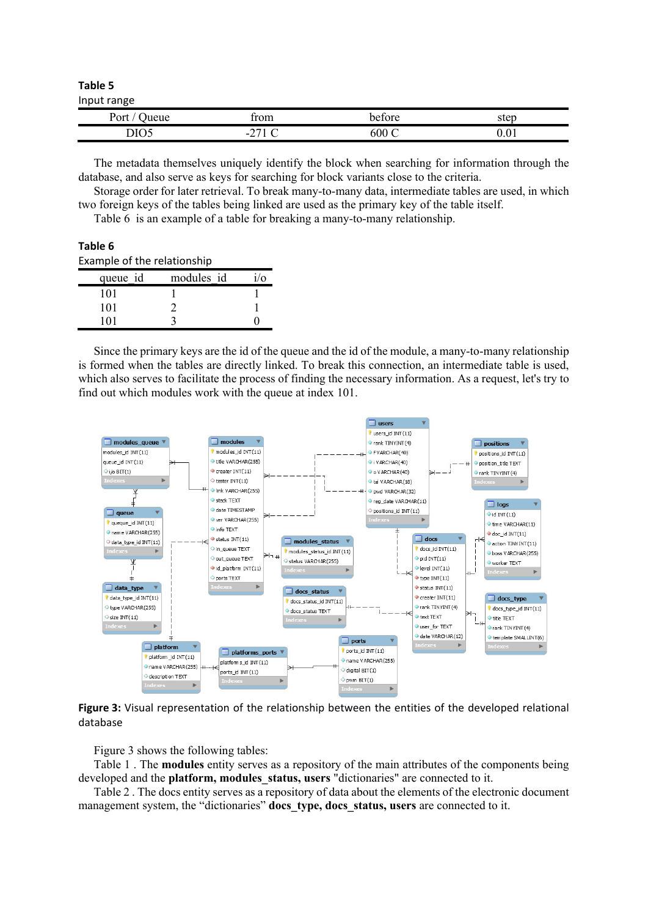**Table 5** Input range

| $\cdots$ $\cdots$ |          |                                             |      |
|-------------------|----------|---------------------------------------------|------|
| )∧≁+<br>eue       | rom      | hatara                                      | ∩t∩n |
| DIO5              | . .<br>- | 00 <sub>c</sub><br>$\overline{\phantom{0}}$ | v.v. |

The metadata themselves uniquely identify the block when searching for information through the database, and also serve as keys for searching for block variants close to the criteria.

Storage order for later retrieval. To break many-to-many data, intermediate tables are used, in which two foreign keys of the tables being linked are used as the primary key of the table itself.

Table 6 is an example of a table for breaking a many-to-many relationship.

**Table 6**

Example of the relationship

| queue id | modules id | $\sqrt{0}$ |
|----------|------------|------------|
| 101      |            |            |
| 101      |            |            |
|          |            |            |

Since the primary keys are the id of the queue and the id of the module, a many-to-many relationship is formed when the tables are directly linked. To break this connection, an intermediate table is used, which also serves to facilitate the process of finding the necessary information. As a request, let's try to find out which modules work with the queue at index 101.



**Figure 3:** Visual representation of the relationship between the entities of the developed relational database

Figure 3 shows the following tables:

Table 1 . The **modules** entity serves as a repository of the main attributes of the components being developed and the **platform, modules\_status, users** "dictionaries" are connected to it.

Table 2 . The docs entity serves as a repository of data about the elements of the electronic document management system, the "dictionaries" **docs\_type, docs\_status, users** are connected to it.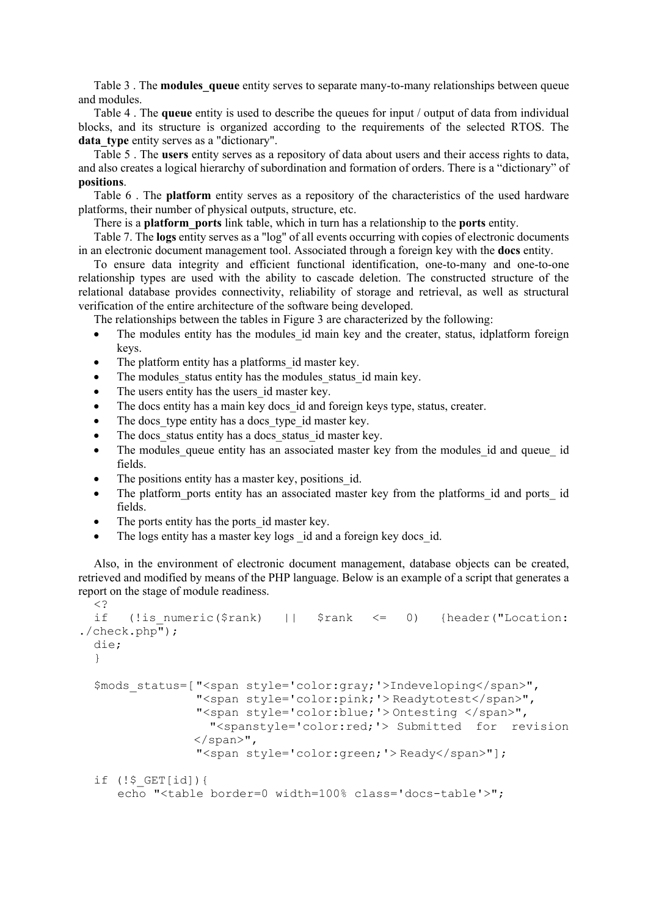Table 3 . The **modules\_queue** entity serves to separate many-to-many relationships between queue and modules.

Table 4 . The **queue** entity is used to describe the queues for input / output of data from individual blocks, and its structure is organized according to the requirements of the selected RTOS. The data type entity serves as a "dictionary".

Table 5 . The **users** entity serves as a repository of data about users and their access rights to data, and also creates a logical hierarchy of subordination and formation of orders. There is a "dictionary" of **positions**.

Table 6 . The **platform** entity serves as a repository of the characteristics of the used hardware platforms, their number of physical outputs, structure, etc.

There is a **platform\_ports** link table, which in turn has a relationship to the **ports** entity.

Table 7. The **logs** entity serves as a "log" of all events occurring with copies of electronic documents in an electronic document management tool. Associated through a foreign key with the **docs** entity.

To ensure data integrity and efficient functional identification, one-to-many and one-to-one relationship types are used with the ability to cascade deletion. The constructed structure of the relational database provides connectivity, reliability of storage and retrieval, as well as structural verification of the entire architecture of the software being developed.

The relationships between the tables in Figure 3 are characterized by the following:

- The modules entity has the modules id main key and the creater, status, idplatform foreign keys.
- The platform entity has a platforms id master key.
- The modules status entity has the modules status id main key.
- The users entity has the users id master key.
- The docs entity has a main key docs id and foreign keys type, status, creater.
- The docs type entity has a docs type id master key.
- The docs status entity has a docs status id master key.
- The modules queue entity has an associated master key from the modules id and queue id fields.
- The positions entity has a master key, positions id.
- The platform ports entity has an associated master key from the platforms id and ports id fields.
- The ports entity has the ports id master key.
- The logs entity has a master key logs id and a foreign key docs id.

Also, in the environment of electronic document management, database objects can be created, retrieved and modified by means of the PHP language. Below is an example of a script that generates a report on the stage of module readiness.  $\leq$  ?

```
if (!is numeric($rank) || $rank <= 0) {header("Location:
./check.php");
 die; 
  } 
 $mods_status=[ "<span style='color:gray;'>Indeveloping</span>", 
                 "<span style='color:pink;'> Readytotest</span>", 
                 "<span style='color:blue;'> Ontesting </span>", 
                  "<spanstyle='color:red;'> Submitted for revision 
                </span>", 
                 "<span style='color:green;'> Ready</span>"]; 
 if (!$_GET[id]){ 
      echo "<table border=0 width=100% class='docs-table'>";
```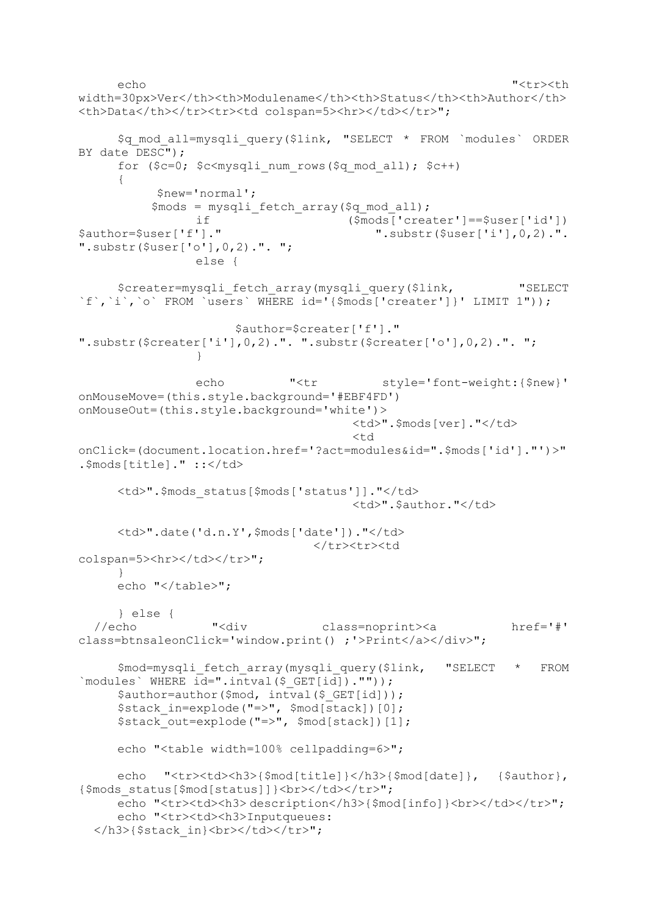```
echo "<tr><th
width=30px>Ver</th><th>Modulename</th><th>Status</th><th>Author</th>
<th>Data</th></tr>><tr>>tr><td colspan=5><hr></td></tr>";
       $q_mod_all=mysqli_query($link, "SELECT * FROM `modules` ORDER 
BY date DESC"); 
     for (\frac{c}{c}-0; \frac{c}{m}ysqli num rows(\frac{c}{q} mod all); \frac{c}{r} { 
            $new='normal'; 
           $mods = mysqli fetch array($q_mod_all);
 if ($mods['creater']==$user['id']) 
                                            " .substr($user['i'],0,2).".
".substr($user['o'],0,2).". "; 
                  else { 
      $creater=mysqli_fetch_array(mysqli_query($link, "SELECT
`f`,`i`,`o` FROM `users` WHERE id='{$mods['creater']}' LIMIT 1")); 
                        $author=$creater['f']." 
".substr($creater['i'],0,2).". ".substr($creater['o'],0,2).". "; 
   } 
                 echo "<tr style='font-weight:{$new}'
onMouseMove=(this.style.background='#EBF4FD') 
onMouseOut=(this.style.background='white')> 
                                          <td>".$mods[ver]."</td> 
  and the contract of the contract of the contract of the contract of the contract of the contract of the contract of the contract of the contract of the contract of the contract of the contract of the contract of the contra
onClick=(document.location.href='?act=modules&id=".$mods['id']."')>"
.$mods[title]." ::</td>
     <td>".$mods status[$mods['status']]."</td>
                                          <td>".$author."</td> 
     <td>".date('d.n.Y',$mods['date'])."</td>
                                    </tr><tr><td 
colspan=5><hr></td></tr>";
   } 
     echo "</table>";
       } else { 
  //echo "<div class=noprint><a href='#' 
class=btnsaleonClick='window.print() ;'>Print</a></div>"; 
       $mod=mysqli_fetch_array(mysqli_query($link, "SELECT * FROM 
`modules` WHERE id=".intval($ GET[id]).""));
      $author=author($mod, intval($ GET[id]));
       $stack_in=explode("=>", $mod[stack])[0]; 
      $stack_out=explode("=>", $mod[stack])[1]; 
      echo "<table width=100% cellpadding=6>"; 
     echo "<tr><td><h3>{$mod[title]}</h3>{$mod[date]}, {$author},
{$mods status[$mod[status]]}<br></td></tr>";
     echo "<tr><td><h3> description</h3>{$mod[info]}<br/></td></tr>";
     echo "<tr><td><h3>Inputqueues:
  \langle h3\rangle{$stack in}\langle b r \rangle /td>\langle tr \rangle";
```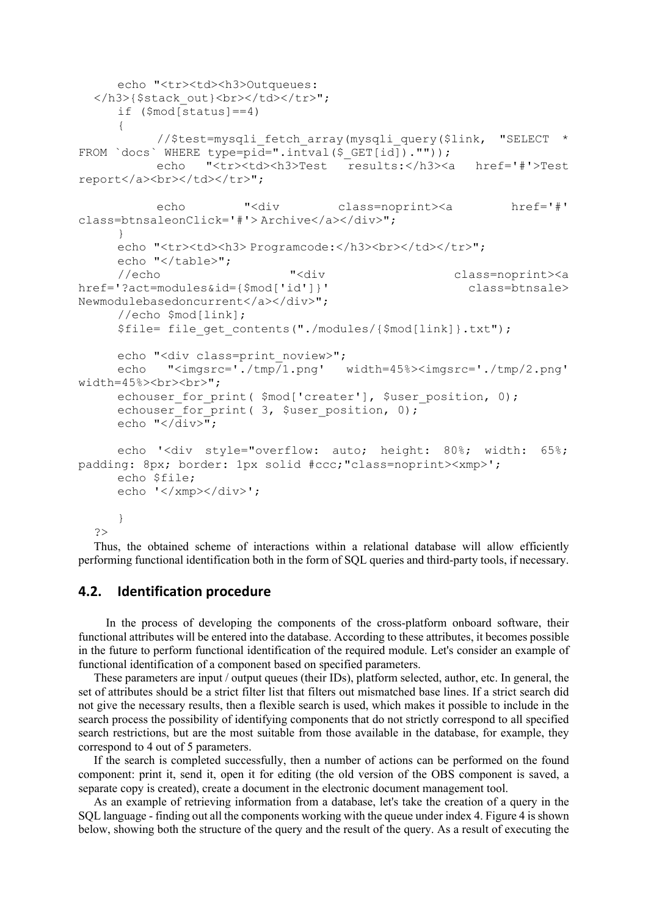```
echo "<tr><td><h3>Outqueues:
  </h3>{$stack_out}<br></td></tr>";
     if (\text{3mod}[\text{status}]=4)\{//$test=mysqli fetch array(mysqli query($link, "SELECT *
FROM `docs` WHERE type=pid=".intval($ GET[id]).""));
           echo "<tr><td><h3>Test results:</h3><a href='#'>Test 
report</a>>>>></td></td></tr>";
          echo "<div class=noprint><a href='#'
class=btnsaleonClick='#'> Archive</a></div>"; 
   } 
     echo "<tr><td><h3> Programcode:</h3><br>></td></tr>";
     echo "</table>";
      //echo "<div class=noprint><a 
href='?act=modules&id={$mod['id']}' class=btnsale>
Newmodulebasedoncurrent</a></div>"; 
      //echo $mod[link]; 
      $file= file_get_contents("./modules/{$mod[link]}.txt"); 
     echo "<div class=print noview>";
      echo "<imgsrc='./tmp/1.png' width=45%><imgsrc='./tmp/2.png' 
width=45%><br>>>>";
     echouser for print( $mod['create'], $user position, 0);echouser for print( 3, $user position, 0);
     echo "\langle \overline{div} \rangle";
      echo '<div style="overflow: auto; height: 80%; width: 65%; 
padding: 8px; border: 1px solid #ccc;"class=noprint><xmp>'; 
      echo $file; 
      echo '</xmp></div>'; 
      } 
  ?>
```
Thus, the obtained scheme of interactions within a relational database will allow efficiently performing functional identification both in the form of SQL queries and third-party tools, if necessary.

# **4.2. Identification procedure**

 In the process of developing the components of the cross-platform onboard software, their functional attributes will be entered into the database. According to these attributes, it becomes possible in the future to perform functional identification of the required module. Let's consider an example of functional identification of a component based on specified parameters.

These parameters are input / output queues (their IDs), platform selected, author, etc. In general, the set of attributes should be a strict filter list that filters out mismatched base lines. If a strict search did not give the necessary results, then a flexible search is used, which makes it possible to include in the search process the possibility of identifying components that do not strictly correspond to all specified search restrictions, but are the most suitable from those available in the database, for example, they correspond to 4 out of 5 parameters.

If the search is completed successfully, then a number of actions can be performed on the found component: print it, send it, open it for editing (the old version of the OBS component is saved, a separate copy is created), create a document in the electronic document management tool.

As an example of retrieving information from a database, let's take the creation of a query in the SQL language - finding out all the components working with the queue under index 4. Figure 4 is shown below, showing both the structure of the query and the result of the query. As a result of executing the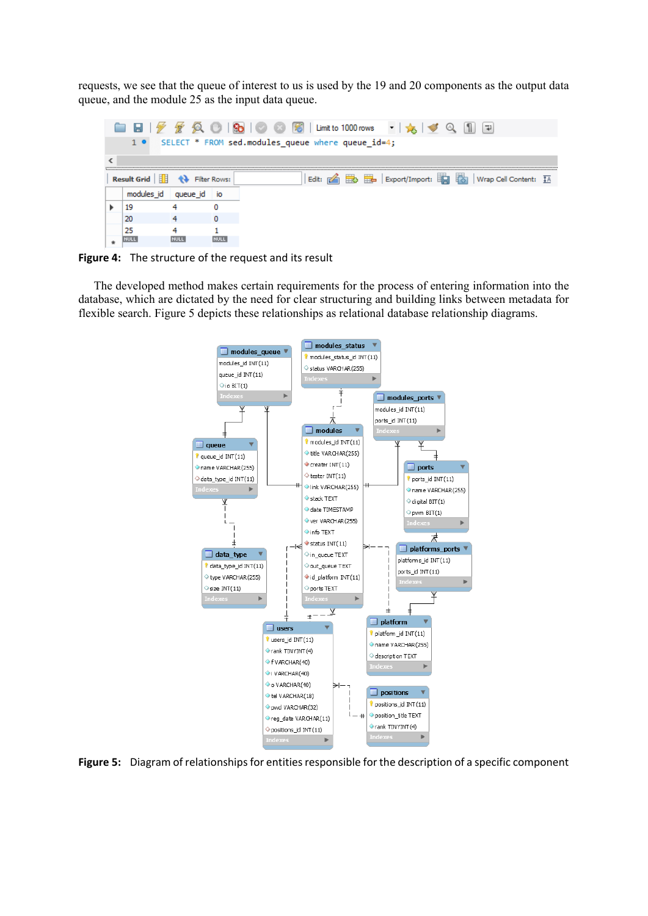requests, we see that the queue of interest to us is used by the 19 and 20 components as the output data queue, and the module 25 as the input data queue.

| ы                  |          |                     | 图 Limit to 1000 rows<br>S.<br>里<br>$\left(\frac{1}{2},\frac{1}{2}\right)$<br>т.         |
|--------------------|----------|---------------------|-----------------------------------------------------------------------------------------|
| $1 \bullet$        |          |                     | SELECT * FROM sed.modules queue where queue id=4;                                       |
|                    |          |                     |                                                                                         |
| <b>Result Grid</b> |          | <b>Filter Rows:</b> | $\frac{1}{200}$ $\frac{1}{200}$ Export/Import:<br>ばる]<br>Edit:<br>Wrap Cell Content: #4 |
| modules id         | queue id | IO                  |                                                                                         |
| 19                 |          |                     |                                                                                         |
| 20                 |          |                     |                                                                                         |
| 25                 |          |                     |                                                                                         |
| NULL               | NULI     | NULL                |                                                                                         |

**Figure 4:**  The structure of the request and its result

The developed method makes certain requirements for the process of entering information into the database, which are dictated by the need for clear structuring and building links between metadata for flexible search. Figure 5 depicts these relationships as relational database relationship diagrams.



**Figure 5:** Diagram of relationships for entities responsible for the description of a specific component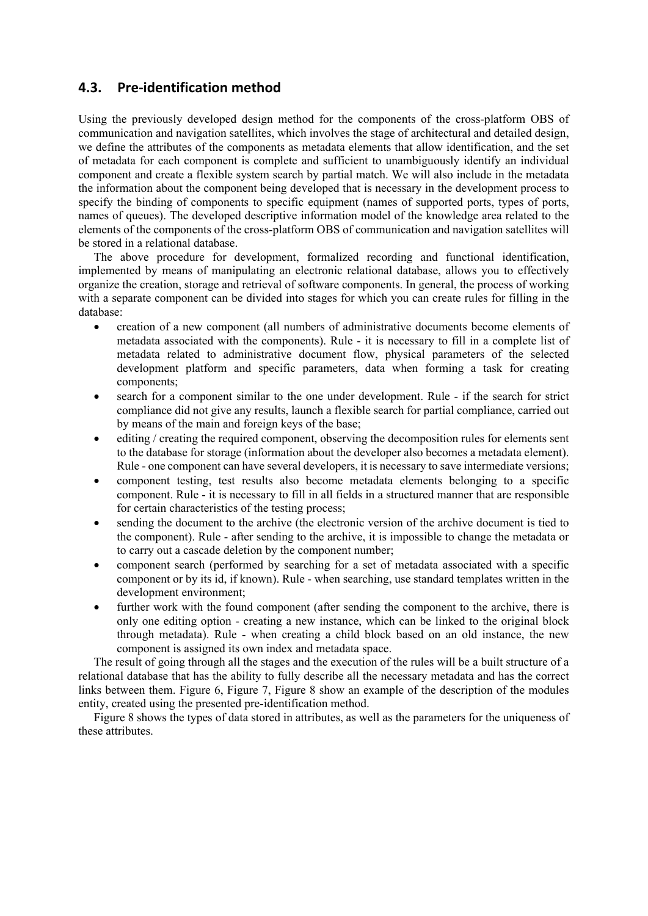# **4.3. Pre‐identification method**

Using the previously developed design method for the components of the cross-platform OBS of communication and navigation satellites, which involves the stage of architectural and detailed design, we define the attributes of the components as metadata elements that allow identification, and the set of metadata for each component is complete and sufficient to unambiguously identify an individual component and create a flexible system search by partial match. We will also include in the metadata the information about the component being developed that is necessary in the development process to specify the binding of components to specific equipment (names of supported ports, types of ports, names of queues). The developed descriptive information model of the knowledge area related to the elements of the components of the cross-platform OBS of communication and navigation satellites will be stored in a relational database.

The above procedure for development, formalized recording and functional identification, implemented by means of manipulating an electronic relational database, allows you to effectively organize the creation, storage and retrieval of software components. In general, the process of working with a separate component can be divided into stages for which you can create rules for filling in the database:

- creation of a new component (all numbers of administrative documents become elements of metadata associated with the components). Rule - it is necessary to fill in a complete list of metadata related to administrative document flow, physical parameters of the selected development platform and specific parameters, data when forming a task for creating components;
- search for a component similar to the one under development. Rule if the search for strict compliance did not give any results, launch a flexible search for partial compliance, carried out by means of the main and foreign keys of the base;
- editing / creating the required component, observing the decomposition rules for elements sent to the database for storage (information about the developer also becomes a metadata element). Rule - one component can have several developers, it is necessary to save intermediate versions;
- component testing, test results also become metadata elements belonging to a specific component. Rule - it is necessary to fill in all fields in a structured manner that are responsible for certain characteristics of the testing process;
- sending the document to the archive (the electronic version of the archive document is tied to the component). Rule - after sending to the archive, it is impossible to change the metadata or to carry out a cascade deletion by the component number;
- component search (performed by searching for a set of metadata associated with a specific component or by its id, if known). Rule - when searching, use standard templates written in the development environment;
- further work with the found component (after sending the component to the archive, there is only one editing option - creating a new instance, which can be linked to the original block through metadata). Rule - when creating a child block based on an old instance, the new component is assigned its own index and metadata space.

The result of going through all the stages and the execution of the rules will be a built structure of a relational database that has the ability to fully describe all the necessary metadata and has the correct links between them. Figure 6, Figure 7, Figure 8 show an example of the description of the modules entity, created using the presented pre-identification method.

Figure 8 shows the types of data stored in attributes, as well as the parameters for the uniqueness of these attributes.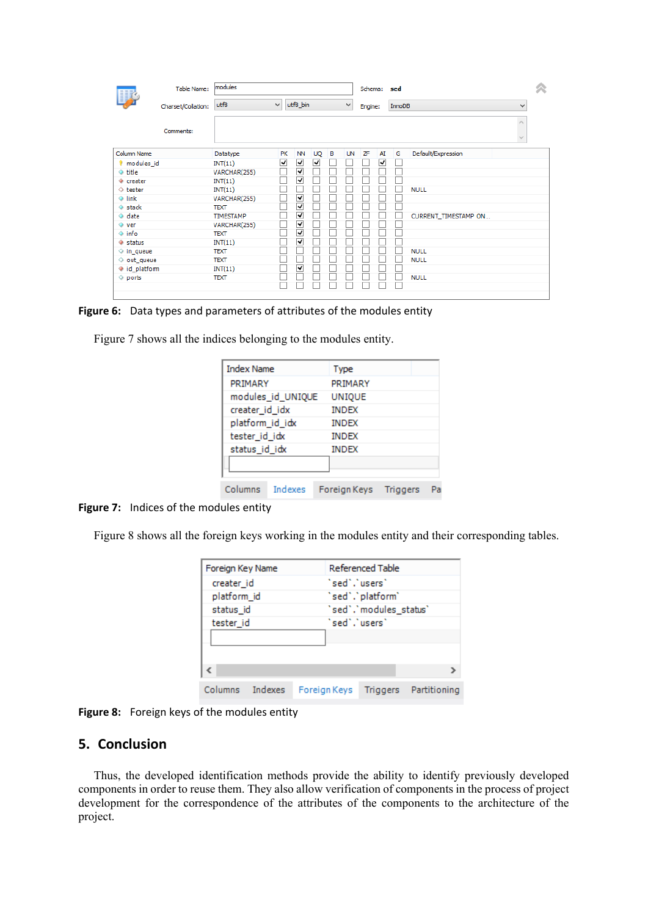|                      | Table Name:        | modules        |    |          |           |   |              | Schema: sed |    |        |                               | 仌 |
|----------------------|--------------------|----------------|----|----------|-----------|---|--------------|-------------|----|--------|-------------------------------|---|
|                      | Charset/Collation: | utf8<br>$\vee$ |    | utf8_bin |           |   | $\checkmark$ | Engine:     |    | InnoDB | v                             |   |
|                      | Comments:          |                |    |          |           |   |              |             |    |        | $\wedge$<br>$\lambda_{\rm B}$ |   |
| Column Name          |                    | Datatype       | PK | NN       | <b>UQ</b> | в | UN           | ZF          | AI | G      | Default/Expression            |   |
| <i>I</i> modules id  |                    | INT(11)        | ⊽  | ▿        | ⊽         |   |              |             | ⊽  |        |                               |   |
| ♦ title              |                    | VARCHAR(255)   |    | ▿        |           |   |              |             |    |        |                               |   |
| ♦ creater            |                    | INT(11)        |    | ▿        |           |   |              |             |    |        |                               |   |
| $\Diamond$ tester    |                    | INT(11)        |    |          |           |   |              |             |    |        | <b>NULL</b>                   |   |
| $\Diamond$ link      |                    | VARCHAR(255)   |    | ▽        |           |   |              |             |    |        |                               |   |
| $\Diamond$ stack     |                    | <b>TEXT</b>    |    | √        |           |   |              |             |    |        |                               |   |
| $\Diamond$ date      |                    | TIMESTAMP      |    | ✓        |           |   |              |             |    |        | CURRENT_TIMESTAMP_ON          |   |
| $\Diamond$ ver       |                    | VARCHAR(255)   |    | ✔        |           |   |              |             |    |        |                               |   |
| $\Diamond$ info      |                    | <b>TEXT</b>    |    | ✔        |           |   |              |             |    |        |                               |   |
| $\bullet$ status     |                    | INT(11)        |    | ▿        |           |   |              |             |    |        |                               |   |
| $\Diamond$ in queue  |                    | <b>TEXT</b>    |    |          |           |   |              |             |    |        | <b>NULL</b>                   |   |
| $\Diamond$ out_queue |                    | <b>TEXT</b>    |    |          |           |   |              |             |    |        | <b>NULL</b>                   |   |
| ♦ id_platfom         |                    | INT(11)        |    | ▿        |           |   |              |             |    |        |                               |   |
| $\Diamond$ ports     |                    | <b>TEXT</b>    |    |          |           |   |              |             |    |        | <b>NULL</b>                   |   |
|                      |                    |                |    |          |           |   |              |             |    |        |                               |   |

**Figure 6:** Data types and parameters of attributes of the modules entity

Figure 7 shows all the indices belonging to the modules entity.

| <b>Index Name</b>  | <b>Type</b>   |                 |  |
|--------------------|---------------|-----------------|--|
| PRIMARY            | PRIMARY       |                 |  |
| modules_id_UNIQUE  | <b>UNIOUE</b> |                 |  |
| creater_id_idx     | <b>INDEX</b>  |                 |  |
| platform_id_idx    | <b>INDEX</b>  |                 |  |
| tester_id_idx      | <b>INDEX</b>  |                 |  |
| status_id_idx      | <b>INDEX</b>  |                 |  |
|                    |               |                 |  |
| Columns<br>Indexes | Foreign Keys  | <b>Triggers</b> |  |

**Figure 7:** Indices of the modules entity

Figure 8 shows all the foreign keys working in the modules entity and their corresponding tables.

| Foreign Key Name |              |                                            | Referenced Table |  |                       |  |
|------------------|--------------|--------------------------------------------|------------------|--|-----------------------|--|
| creater id       |              |                                            | `sed`.`users`    |  |                       |  |
| platform_id      |              | `sed`.`platform`<br>'sed','modules_status' |                  |  |                       |  |
| status id        |              |                                            |                  |  |                       |  |
| tester id        |              |                                            | `sed`.`users`    |  |                       |  |
|                  |              |                                            |                  |  |                       |  |
|                  |              |                                            |                  |  |                       |  |
|                  |              |                                            |                  |  |                       |  |
| Columns Indexes  | Foreign Keys |                                            |                  |  | Triggers Partitioning |  |

**Figure 8:**  Foreign keys of the modules entity

# **5. Conclusion**

Thus, the developed identification methods provide the ability to identify previously developed components in order to reuse them. They also allow verification of components in the process of project development for the correspondence of the attributes of the components to the architecture of the project.